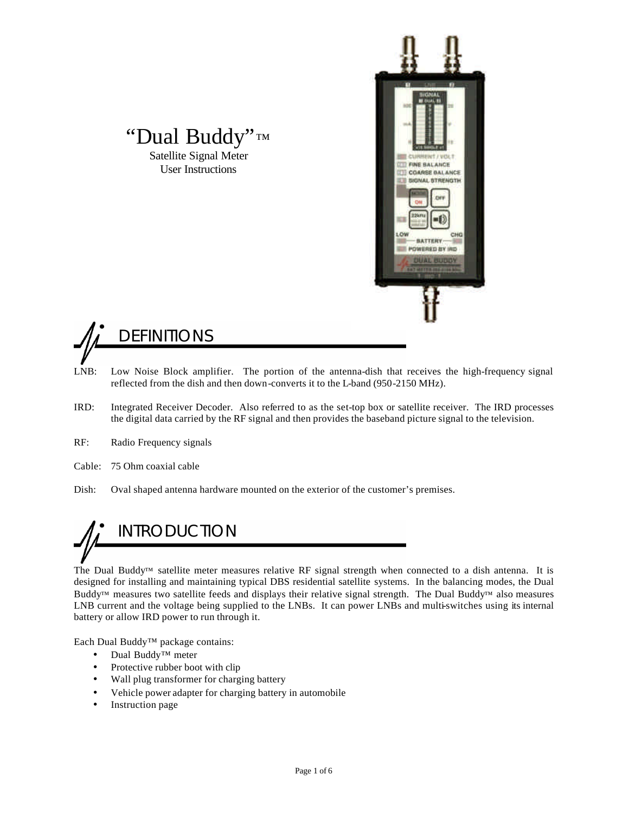



"Dual Buddy"™ Satellite Signal Meter User Instructions

- LNB: Low Noise Block amplifier. The portion of the antenna-dish that receives the high-frequency signal reflected from the dish and then down-converts it to the L-band (950-2150 MHz).
- IRD: Integrated Receiver Decoder. Also referred to as the set-top box or satellite receiver. The IRD processes the digital data carried by the RF signal and then provides the baseband picture signal to the television.
- RF: Radio Frequency signals
- Cable: 75 Ohm coaxial cable
- Dish: Oval shaped antenna hardware mounted on the exterior of the customer's premises.

### **INTRODUCTION**

The Dual Buddy™ satellite meter measures relative RF signal strength when connected to a dish antenna. It is designed for installing and maintaining typical DBS residential satellite systems. In the balancing modes, the Dual Buddy™ measures two satellite feeds and displays their relative signal strength. The Dual Buddy™ also measures LNB current and the voltage being supplied to the LNBs. It can power LNBs and multi-switches using its internal battery or allow IRD power to run through it.

Each Dual Buddy™ package contains:

- Dual Buddy™ meter
- Protective rubber boot with clip
- Wall plug transformer for charging battery
- Vehicle power adapter for charging battery in automobile
- Instruction page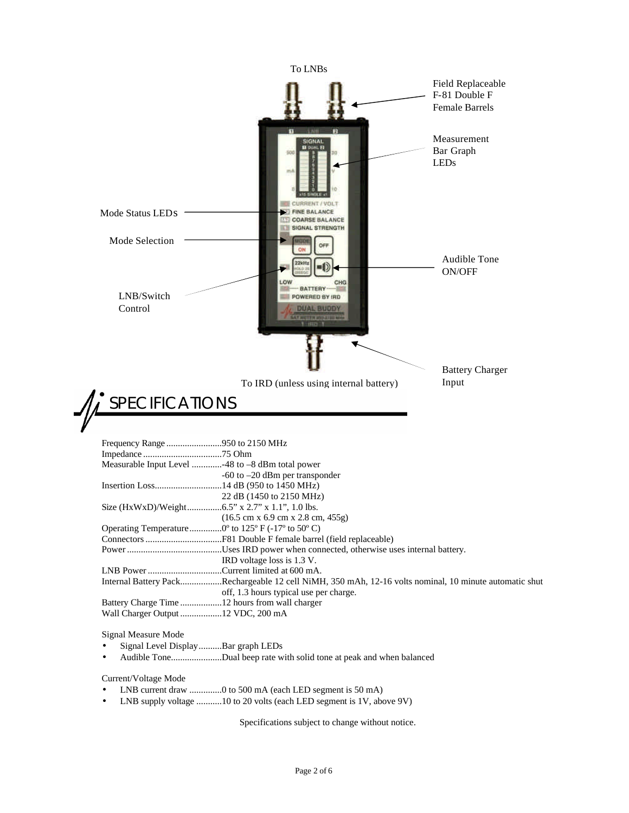

Specifications subject to change without notice.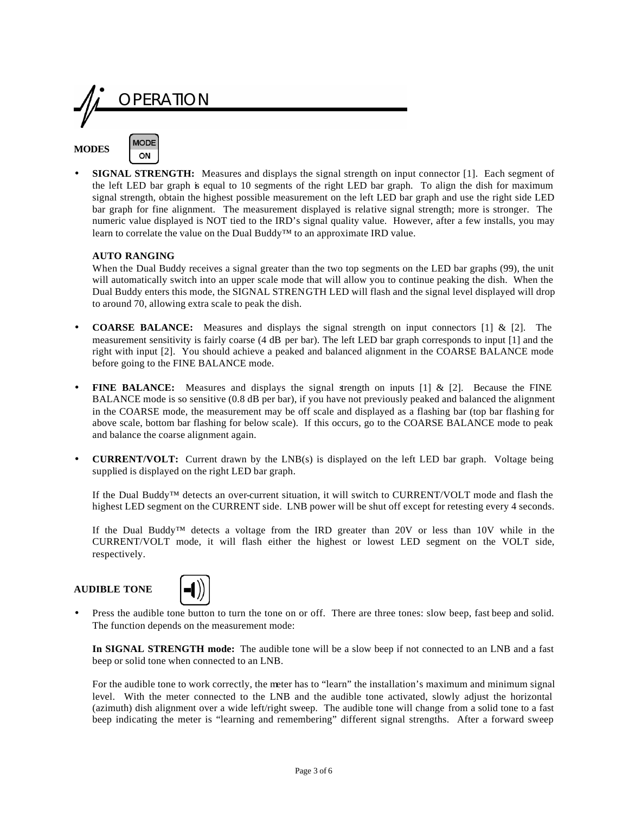

**SIGNAL STRENGTH:** Measures and displays the signal strength on input connector [1]. Each segment of the left LED bar graph is equal to 10 segments of the right LED bar graph. To align the dish for maximum signal strength, obtain the highest possible measurement on the left LED bar graph and use the right side LED bar graph for fine alignment. The measurement displayed is relative signal strength; more is stronger. The numeric value displayed is NOT tied to the IRD's signal quality value. However, after a few installs, you may learn to correlate the value on the Dual Buddy™ to an approximate IRD value.

#### **AUTO RANGING**

When the Dual Buddy receives a signal greater than the two top segments on the LED bar graphs (99), the unit will automatically switch into an upper scale mode that will allow you to continue peaking the dish. When the Dual Buddy enters this mode, the SIGNAL STRENGTH LED will flash and the signal level displayed will drop to around 70, allowing extra scale to peak the dish.

- **COARSE BALANCE:** Measures and displays the signal strength on input connectors [1] & [2]. The measurement sensitivity is fairly coarse (4 dB per bar). The left LED bar graph corresponds to input [1] and the right with input [2]. You should achieve a peaked and balanced alignment in the COARSE BALANCE mode before going to the FINE BALANCE mode.
- **FINE BALANCE:** Measures and displays the signal strength on inputs [1] & [2]. Because the FINE BALANCE mode is so sensitive (0.8 dB per bar), if you have not previously peaked and balanced the alignment in the COARSE mode, the measurement may be off scale and displayed as a flashing bar (top bar flashing for above scale, bottom bar flashing for below scale). If this occurs, go to the COARSE BALANCE mode to peak and balance the coarse alignment again.
- **CURRENT/VOLT:** Current drawn by the LNB(s) is displayed on the left LED bar graph. Voltage being supplied is displayed on the right LED bar graph.

If the Dual Buddy™ detects an over-current situation, it will switch to CURRENT/VOLT mode and flash the highest LED segment on the CURRENT side. LNB power will be shut off except for retesting every 4 seconds.

If the Dual Buddy™ detects a voltage from the IRD greater than 20V or less than 10V while in the CURRENT/VOLT mode, it will flash either the highest or lowest LED segment on the VOLT side, respectively.

#### **AUDIBLE TONE**



• Press the audible tone button to turn the tone on or off. There are three tones: slow beep, fast beep and solid. The function depends on the measurement mode:

**In SIGNAL STRENGTH mode:** The audible tone will be a slow beep if not connected to an LNB and a fast beep or solid tone when connected to an LNB.

For the audible tone to work correctly, the meter has to "learn" the installation's maximum and minimum signal level. With the meter connected to the LNB and the audible tone activated, slowly adjust the horizontal (azimuth) dish alignment over a wide left/right sweep. The audible tone will change from a solid tone to a fast beep indicating the meter is "learning and remembering" different signal strengths. After a forward sweep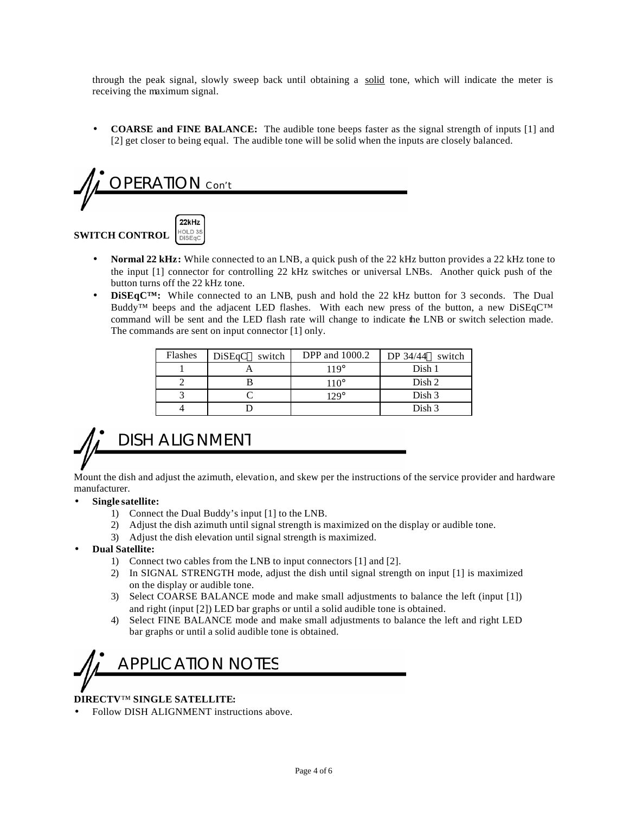through the peak signal, slowly sweep back until obtaining a solid tone, which will indicate the meter is receiving the maximum signal.

• **COARSE and FINE BALANCE:** The audible tone beeps faster as the signal strength of inputs [1] and [2] get closer to being equal. The audible tone will be solid when the inputs are closely balanced.

# PERAIION Con't



- **Normal 22 kHz:** While connected to an LNB, a quick push of the 22 kHz button provides a 22 kHz tone to the input [1] connector for controlling 22 kHz switches or universal LNBs. Another quick push of the button turns off the 22 kHz tone.
- **DISEGC<sup>TM</sup>:** While connected to an LNB, push and hold the 22 kHz button for 3 seconds. The Dual Buddy™ beeps and the adjacent LED flashes. With each new press of the button, a new DiSEqC™ command will be sent and the LED flash rate will change to indicate the LNB or switch selection made. The commands are sent on input connector [1] only.

| Flashes | DiSEqC <sup>TM</sup> switch | <b>DPP</b> and 1000.2 | DP $34/44^{\text{TM}}$ switch |
|---------|-----------------------------|-----------------------|-------------------------------|
|         |                             | $119^\circ$           | Dish 1                        |
|         |                             | $110^\circ$           | Dish 2                        |
|         |                             | $129^\circ$           | Dish 3                        |
|         |                             |                       | Dish 3                        |

### DISH ALIGNMENT

Mount the dish and adjust the azimuth, elevation, and skew per the instructions of the service provider and hardware manufacturer.

#### • **Single satellite:**

- 1) Connect the Dual Buddy's input [1] to the LNB.
- 2) Adjust the dish azimuth until signal strength is maximized on the display or audible tone.
- 3) Adjust the dish elevation until signal strength is maximized.
- **Dual Satellite:**
	- 1) Connect two cables from the LNB to input connectors [1] and [2].
	- 2) In SIGNAL STRENGTH mode, adjust the dish until signal strength on input [1] is maximized on the display or audible tone.
	- 3) Select COARSE BALANCE mode and make small adjustments to balance the left (input [1]) and right (input [2]) LED bar graphs or until a solid audible tone is obtained.
	- 4) Select FINE BALANCE mode and make small adjustments to balance the left and right LED bar graphs or until a solid audible tone is obtained.

### APPLICATION NOTES

#### **DIRECTV**™ **SINGLE SATELLITE:**

• Follow DISH ALIGNMENT instructions above.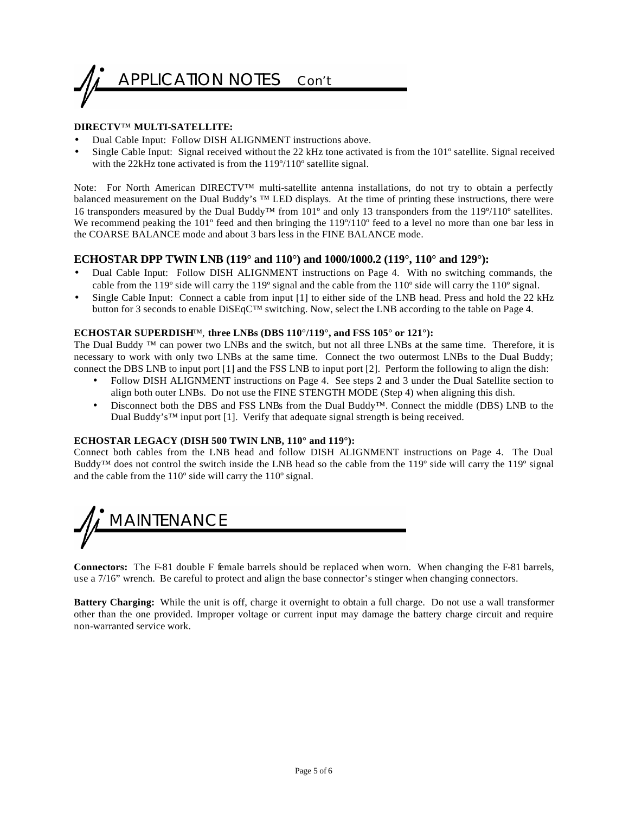

#### **DIRECTV**™ **MULTI-SATELLITE:**

- Dual Cable Input: Follow DISH ALIGNMENT instructions above.
- Single Cable Input: Signal received without the 22 kHz tone activated is from the 101º satellite. Signal received with the 22kHz tone activated is from the 119°/110° satellite signal.

Note: For North American DIRECTV™ multi-satellite antenna installations, do not try to obtain a perfectly balanced measurement on the Dual Buddy's ™ LED displays. At the time of printing these instructions, there were 16 transponders measured by the Dual Buddy™ from 101º and only 13 transponders from the 119º/110º satellites. We recommend peaking the 101<sup>°</sup> feed and then bringing the 119°/110<sup>°</sup> feed to a level no more than one bar less in the COARSE BALANCE mode and about 3 bars less in the FINE BALANCE mode.

#### **ECHOSTAR DPP TWIN LNB (119° and 110°) and 1000/1000.2 (119°, 110° and 129°):**

- Dual Cable Input: Follow DISH ALIGNMENT instructions on Page 4. With no switching commands, the cable from the 119º side will carry the 119º signal and the cable from the 110º side will carry the 110º signal.
- Single Cable Input: Connect a cable from input [1] to either side of the LNB head. Press and hold the 22 kHz button for 3 seconds to enable DiSEqC™ switching. Now, select the LNB according to the table on Page 4.

#### **ECHOSTAR SUPERDISH**™, **three LNBs (DBS 110°/119°, and FSS 105° or 121°):**

The Dual Buddy ™ can power two LNBs and the switch, but not all three LNBs at the same time. Therefore, it is necessary to work with only two LNBs at the same time. Connect the two outermost LNBs to the Dual Buddy; connect the DBS LNB to input port [1] and the FSS LNB to input port [2]. Perform the following to align the dish:

- Follow DISH ALIGNMENT instructions on Page 4. See steps 2 and 3 under the Dual Satellite section to align both outer LNBs. Do not use the FINE STENGTH MODE (Step 4) when aligning this dish.
- Disconnect both the DBS and FSS LNBs from the Dual Buddy™. Connect the middle (DBS) LNB to the Dual Buddy's™ input port [1]. Verify that adequate signal strength is being received.

#### **ECHOSTAR LEGACY (DISH 500 TWIN LNB, 110° and 119°):**

Connect both cables from the LNB head and follow DISH ALIGNMENT instructions on Page 4. The Dual Buddy™ does not control the switch inside the LNB head so the cable from the 119º side will carry the 119º signal and the cable from the 110º side will carry the 110º signal.



**Connectors:** The F-81 double F female barrels should be replaced when worn. When changing the F-81 barrels, use a 7/16" wrench. Be careful to protect and align the base connector's stinger when changing connectors.

**Battery Charging:** While the unit is off, charge it overnight to obtain a full charge. Do not use a wall transformer other than the one provided. Improper voltage or current input may damage the battery charge circuit and require non-warranted service work.